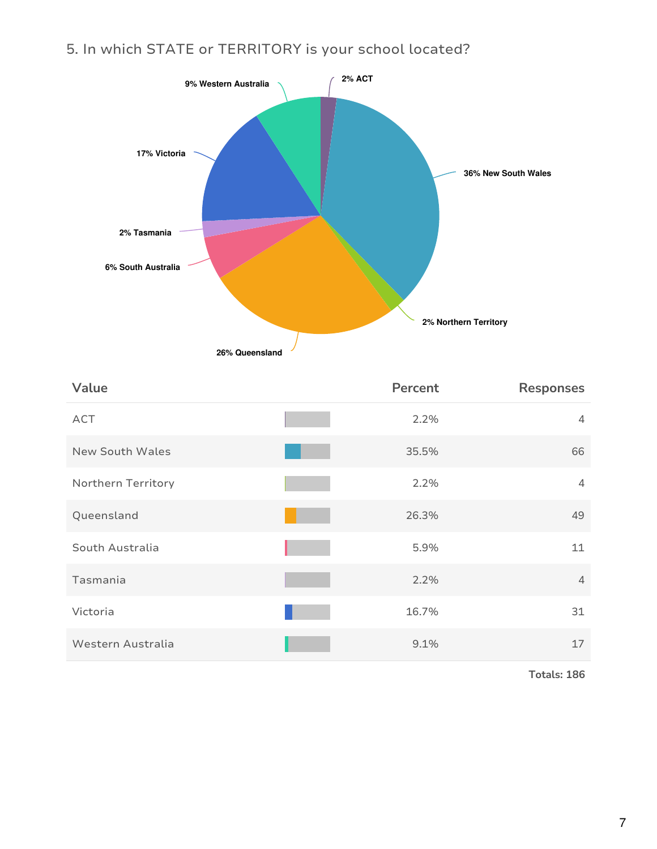## 5. In which STATE or TERRITORY is your school located?



| Value                  | Percent | <b>Responses</b> |
|------------------------|---------|------------------|
| ACT                    | 2.2%    | $\overline{4}$   |
| <b>New South Wales</b> | 35.5%   | 66               |
| Northern Territory     | 2.2%    | $\overline{4}$   |
| Queensland             | 26.3%   | 49               |
| South Australia        | 5.9%    | 11               |
| Tasmania               | 2.2%    | $\overline{4}$   |
| Victoria               | 16.7%   | 31               |
| Western Australia      | 9.1%    | 17               |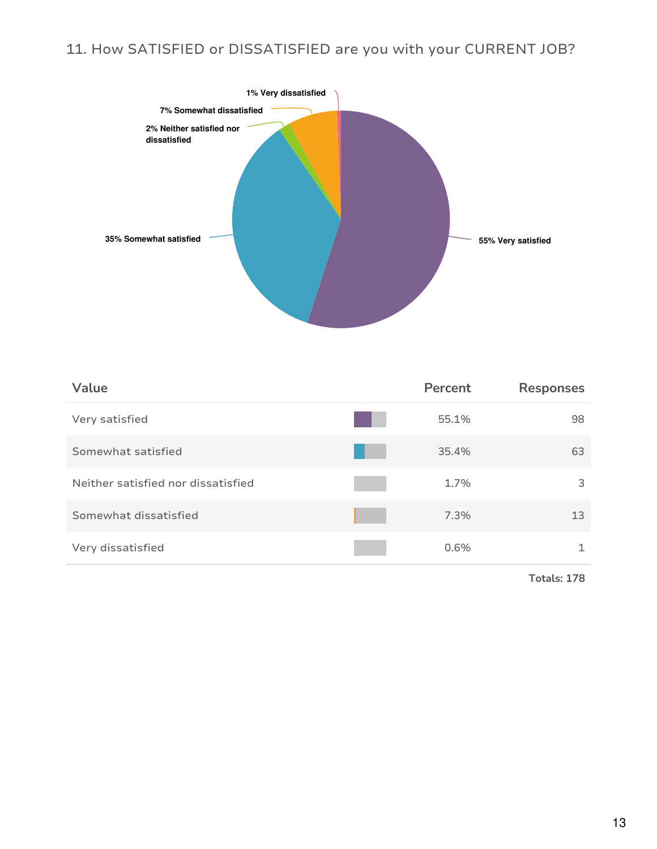## 11. How SATISFIED or DISSATISFIED are you with your CURRENT JOB?



| Value                              | Percent | <b>Responses</b> |
|------------------------------------|---------|------------------|
| Very satisfied                     | 55.1%   | 98               |
| Somewhat satisfied                 | 35.4%   | 63               |
| Neither satisfied nor dissatisfied | 1.7%    | 3                |
| Somewhat dissatisfied              | 7.3%    | 13               |
| Very dissatisfied                  | 0.6%    | 1                |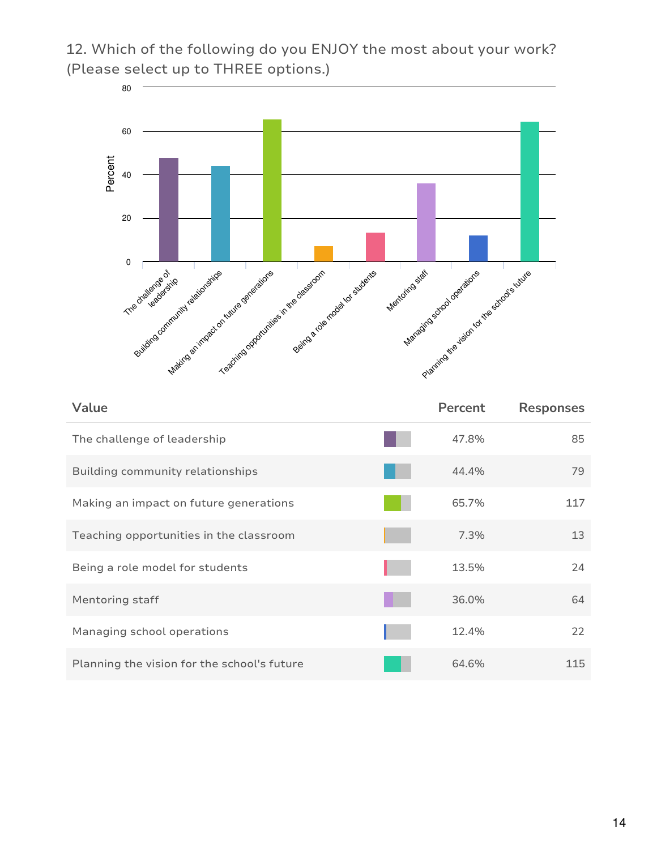12. Which of the following do you ENJOY the most about your work? (Please select up to THREE options.)



| Value                                       | Percent | <b>Responses</b> |
|---------------------------------------------|---------|------------------|
| The challenge of leadership                 | 47.8%   | 85               |
| Building community relationships            | 44.4%   | 79               |
| Making an impact on future generations      | 65.7%   | 117              |
| Teaching opportunities in the classroom     | 7.3%    | 13               |
| Being a role model for students             | 13.5%   | 24               |
| Mentoring staff                             | 36.0%   | 64               |
| Managing school operations                  | 12.4%   | 22               |
| Planning the vision for the school's future | 64.6%   | 115              |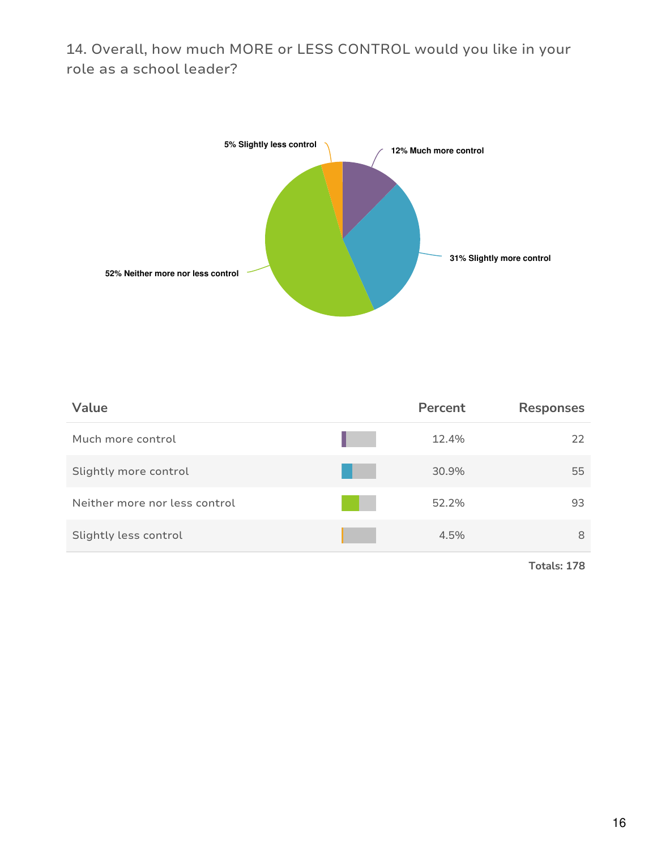14. Overall, how much MORE or LESS CONTROL would you like in your role as a school leader?



| Value                         | Percent | <b>Responses</b> |
|-------------------------------|---------|------------------|
| Much more control             |         | 12.4%<br>22      |
| Slightly more control         |         | 30.9%<br>55      |
| Neither more nor less control |         | 52.2%<br>93      |
| Slightly less control         |         | 4.5%<br>8        |
|                               |         |                  |